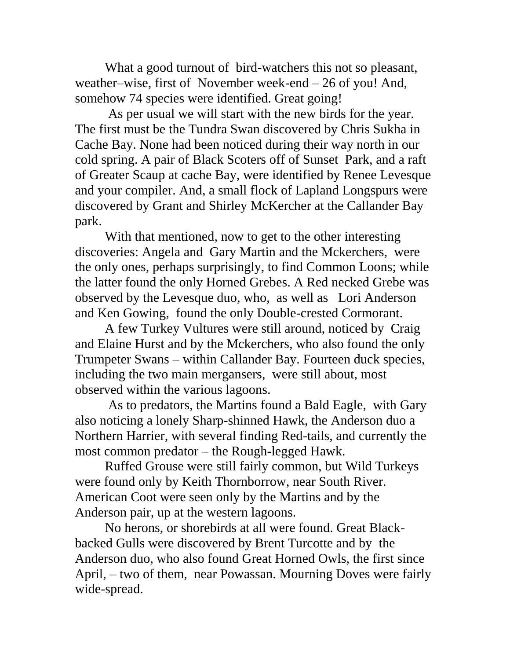What a good turnout of bird-watchers this not so pleasant, weather–wise, first of November week-end – 26 of you! And, somehow 74 species were identified. Great going!

As per usual we will start with the new birds for the year. The first must be the Tundra Swan discovered by Chris Sukha in Cache Bay. None had been noticed during their way north in our cold spring. A pair of Black Scoters off of Sunset Park, and a raft of Greater Scaup at cache Bay, were identified by Renee Levesque and your compiler. And, a small flock of Lapland Longspurs were discovered by Grant and Shirley McKercher at the Callander Bay park.

With that mentioned, now to get to the other interesting discoveries: Angela and Gary Martin and the Mckerchers, were the only ones, perhaps surprisingly, to find Common Loons; while the latter found the only Horned Grebes. A Red necked Grebe was observed by the Levesque duo, who, as well as Lori Anderson and Ken Gowing, found the only Double-crested Cormorant.

A few Turkey Vultures were still around, noticed by Craig and Elaine Hurst and by the Mckerchers, who also found the only Trumpeter Swans – within Callander Bay. Fourteen duck species, including the two main mergansers, were still about, most observed within the various lagoons.

As to predators, the Martins found a Bald Eagle, with Gary also noticing a lonely Sharp-shinned Hawk, the Anderson duo a Northern Harrier, with several finding Red-tails, and currently the most common predator – the Rough-legged Hawk.

Ruffed Grouse were still fairly common, but Wild Turkeys were found only by Keith Thornborrow, near South River. American Coot were seen only by the Martins and by the Anderson pair, up at the western lagoons.

No herons, or shorebirds at all were found. Great Blackbacked Gulls were discovered by Brent Turcotte and by the Anderson duo, who also found Great Horned Owls, the first since April, – two of them, near Powassan. Mourning Doves were fairly wide-spread.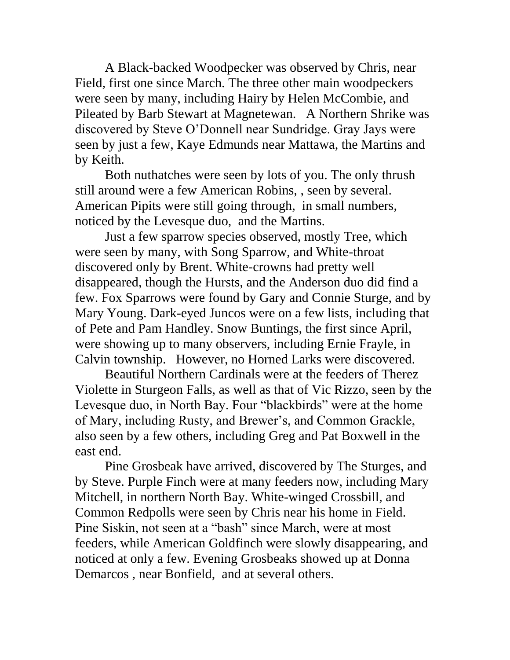A Black-backed Woodpecker was observed by Chris, near Field, first one since March. The three other main woodpeckers were seen by many, including Hairy by Helen McCombie, and Pileated by Barb Stewart at Magnetewan. A Northern Shrike was discovered by Steve O'Donnell near Sundridge. Gray Jays were seen by just a few, Kaye Edmunds near Mattawa, the Martins and by Keith.

Both nuthatches were seen by lots of you. The only thrush still around were a few American Robins, , seen by several. American Pipits were still going through, in small numbers, noticed by the Levesque duo, and the Martins.

Just a few sparrow species observed, mostly Tree, which were seen by many, with Song Sparrow, and White-throat discovered only by Brent. White-crowns had pretty well disappeared, though the Hursts, and the Anderson duo did find a few. Fox Sparrows were found by Gary and Connie Sturge, and by Mary Young. Dark-eyed Juncos were on a few lists, including that of Pete and Pam Handley. Snow Buntings, the first since April, were showing up to many observers, including Ernie Frayle, in Calvin township. However, no Horned Larks were discovered.

Beautiful Northern Cardinals were at the feeders of Therez Violette in Sturgeon Falls, as well as that of Vic Rizzo, seen by the Levesque duo, in North Bay. Four "blackbirds" were at the home of Mary, including Rusty, and Brewer's, and Common Grackle, also seen by a few others, including Greg and Pat Boxwell in the east end.

Pine Grosbeak have arrived, discovered by The Sturges, and by Steve. Purple Finch were at many feeders now, including Mary Mitchell, in northern North Bay. White-winged Crossbill, and Common Redpolls were seen by Chris near his home in Field. Pine Siskin, not seen at a "bash" since March, were at most feeders, while American Goldfinch were slowly disappearing, and noticed at only a few. Evening Grosbeaks showed up at Donna Demarcos , near Bonfield, and at several others.